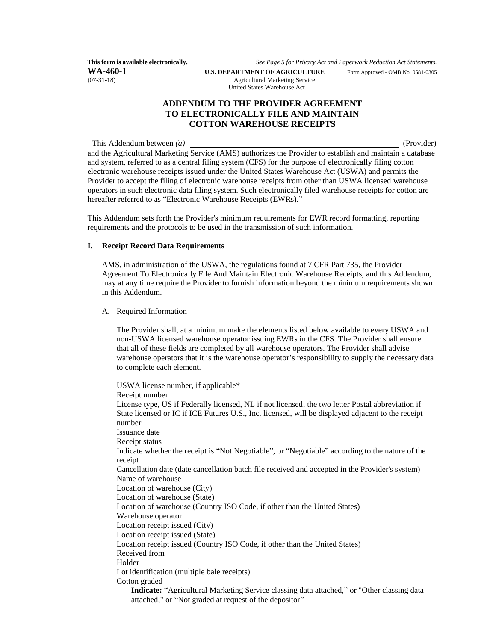**WA-460-1 U.S. DEPARTMENT OF AGRICULTURE** Form Approved - OMB No. 0581-0305 **Approved - OMB No.** 0581-0305 **Approved - OMB** No. 0581-0305

**This form is available electronically.** *See Page 5 for Privacy Act and Paperwork Reduction Act Statements.*

Agricultural Marketing Service United States Warehouse Act

## **ADDENDUM TO THE PROVIDER AGREEMENT TO ELECTRONICALLY FILE AND MAINTAIN COTTON WAREHOUSE RECEIPTS**

This Addendum between *(a) (Provider) (Provider) (Provider) <i>(Provider)*and the Agricultural Marketing Service (AMS) authorizes the Provider to establish and maintain a database and system, referred to as a central filing system (CFS) for the purpose of electronically filing cotton electronic warehouse receipts issued under the United States Warehouse Act (USWA) and permits the Provider to accept the filing of electronic warehouse receipts from other than USWA licensed warehouse operators in such electronic data filing system. Such electronically filed warehouse receipts for cotton are hereafter referred to as "Electronic Warehouse Receipts (EWRs)."

This Addendum sets forth the Provider's minimum requirements for EWR record formatting, reporting requirements and the protocols to be used in the transmission of such information.

## **I. Receipt Record Data Requirements**

AMS, in administration of the USWA, the regulations found at 7 CFR Part 735, the Provider Agreement To Electronically File And Maintain Electronic Warehouse Receipts, and this Addendum, may at any time require the Provider to furnish information beyond the minimum requirements shown in this Addendum.

A. Required Information

The Provider shall, at a minimum make the elements listed below available to every USWA and non-USWA licensed warehouse operator issuing EWRs in the CFS. The Provider shall ensure that all of these fields are completed by all warehouse operators. The Provider shall advise warehouse operators that it is the warehouse operator's responsibility to supply the necessary data to complete each element.

USWA license number, if applicable\* Receipt number License type, US if Federally licensed, NL if not licensed, the two letter Postal abbreviation if State licensed or IC if ICE Futures U.S., Inc. licensed, will be displayed adjacent to the receipt number Issuance date Receipt status Indicate whether the receipt is "Not Negotiable", or "Negotiable" according to the nature of the receipt Cancellation date (date cancellation batch file received and accepted in the Provider's system) Name of warehouse Location of warehouse (City) Location of warehouse (State) Location of warehouse (Country ISO Code, if other than the United States) Warehouse operator Location receipt issued (City) Location receipt issued (State) Location receipt issued (Country ISO Code, if other than the United States) Received from Holder Lot identification (multiple bale receipts) Cotton graded **Indicate:** "Agricultural Marketing Service classing data attached," or "Other classing data attached," or "Not graded at request of the depositor"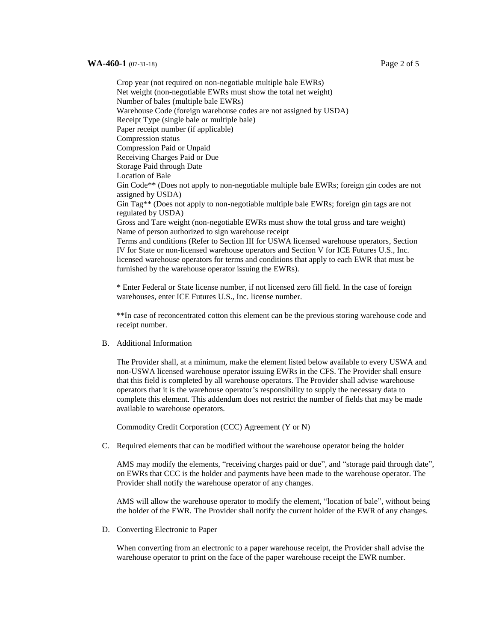#### **WA-460-1** (07-31-18) **Page 2 of 5**

Crop year (not required on non-negotiable multiple bale EWRs) Net weight (non-negotiable EWRs must show the total net weight) Number of bales (multiple bale EWRs) Warehouse Code (foreign warehouse codes are not assigned by USDA) Receipt Type (single bale or multiple bale) Paper receipt number (if applicable) Compression status Compression Paid or Unpaid Receiving Charges Paid or Due Storage Paid through Date Location of Bale Gin Code\*\* (Does not apply to non-negotiable multiple bale EWRs; foreign gin codes are not assigned by USDA) Gin Tag\*\* (Does not apply to non-negotiable multiple bale EWRs; foreign gin tags are not regulated by USDA) Gross and Tare weight (non-negotiable EWRs must show the total gross and tare weight) Name of person authorized to sign warehouse receipt Terms and conditions (Refer to Section III for USWA licensed warehouse operators, Section IV for State or non-licensed warehouse operators and Section V for ICE Futures U.S., Inc. licensed warehouse operators for terms and conditions that apply to each EWR that must be furnished by the warehouse operator issuing the EWRs).

\* Enter Federal or State license number, if not licensed zero fill field. In the case of foreign warehouses, enter ICE Futures U.S., Inc. license number.

\*\*In case of reconcentrated cotton this element can be the previous storing warehouse code and receipt number.

B. Additional Information

The Provider shall, at a minimum, make the element listed below available to every USWA and non-USWA licensed warehouse operator issuing EWRs in the CFS. The Provider shall ensure that this field is completed by all warehouse operators. The Provider shall advise warehouse operators that it is the warehouse operator's responsibility to supply the necessary data to complete this element. This addendum does not restrict the number of fields that may be made available to warehouse operators.

Commodity Credit Corporation (CCC) Agreement (Y or N)

C. Required elements that can be modified without the warehouse operator being the holder

AMS may modify the elements, "receiving charges paid or due", and "storage paid through date", on EWRs that CCC is the holder and payments have been made to the warehouse operator. The Provider shall notify the warehouse operator of any changes.

AMS will allow the warehouse operator to modify the element, "location of bale", without being the holder of the EWR. The Provider shall notify the current holder of the EWR of any changes.

D. Converting Electronic to Paper

When converting from an electronic to a paper warehouse receipt, the Provider shall advise the warehouse operator to print on the face of the paper warehouse receipt the EWR number.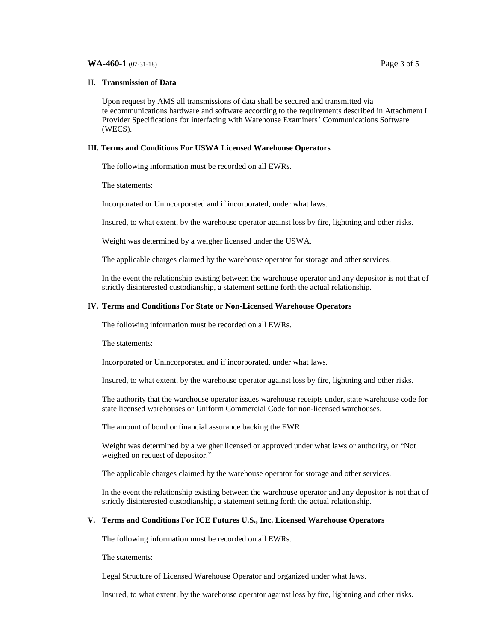#### **WA-460-1** (07-31-18) **Page 3 of 5**

### **II. Transmission of Data**

Upon request by AMS all transmissions of data shall be secured and transmitted via telecommunications hardware and software according to the requirements described in Attachment I Provider Specifications for interfacing with Warehouse Examiners' Communications Software (WECS).

## **III. Terms and Conditions For USWA Licensed Warehouse Operators**

The following information must be recorded on all EWRs.

The statements:

Incorporated or Unincorporated and if incorporated, under what laws.

Insured, to what extent, by the warehouse operator against loss by fire, lightning and other risks.

Weight was determined by a weigher licensed under the USWA.

The applicable charges claimed by the warehouse operator for storage and other services.

In the event the relationship existing between the warehouse operator and any depositor is not that of strictly disinterested custodianship, a statement setting forth the actual relationship.

## **IV. Terms and Conditions For State or Non-Licensed Warehouse Operators**

The following information must be recorded on all EWRs.

The statements:

Incorporated or Unincorporated and if incorporated, under what laws.

Insured, to what extent, by the warehouse operator against loss by fire, lightning and other risks.

The authority that the warehouse operator issues warehouse receipts under, state warehouse code for state licensed warehouses or Uniform Commercial Code for non-licensed warehouses.

The amount of bond or financial assurance backing the EWR.

Weight was determined by a weigher licensed or approved under what laws or authority, or "Not weighed on request of depositor."

The applicable charges claimed by the warehouse operator for storage and other services.

In the event the relationship existing between the warehouse operator and any depositor is not that of strictly disinterested custodianship, a statement setting forth the actual relationship.

## **V. Terms and Conditions For ICE Futures U.S., Inc. Licensed Warehouse Operators**

The following information must be recorded on all EWRs.

The statements:

Legal Structure of Licensed Warehouse Operator and organized under what laws.

Insured, to what extent, by the warehouse operator against loss by fire, lightning and other risks.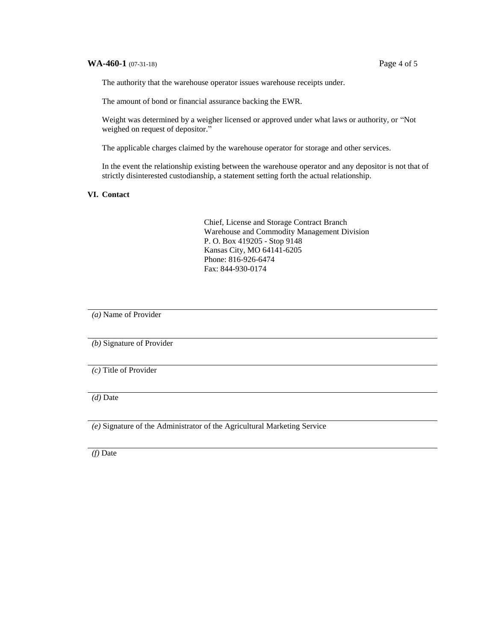## **WA-460-1** (07-31-18) Page 4 of 5

The authority that the warehouse operator issues warehouse receipts under.

The amount of bond or financial assurance backing the EWR.

Weight was determined by a weigher licensed or approved under what laws or authority, or "Not weighed on request of depositor."

The applicable charges claimed by the warehouse operator for storage and other services.

In the event the relationship existing between the warehouse operator and any depositor is not that of strictly disinterested custodianship, a statement setting forth the actual relationship.

## **VI. Contact**

Chief, License and Storage Contract Branch Warehouse and Commodity Management Division P. O. Box 419205 - Stop 9148 Kansas City, MO 64141-6205 Phone: 816-926-6474 Fax: 844-930-0174

*(a)* Name of Provider

*(b)* Signature of Provider

*(c)* Title of Provider

*(d)* Date

*(e)* Signature of the Administrator of the Agricultural Marketing Service

*(f)* Date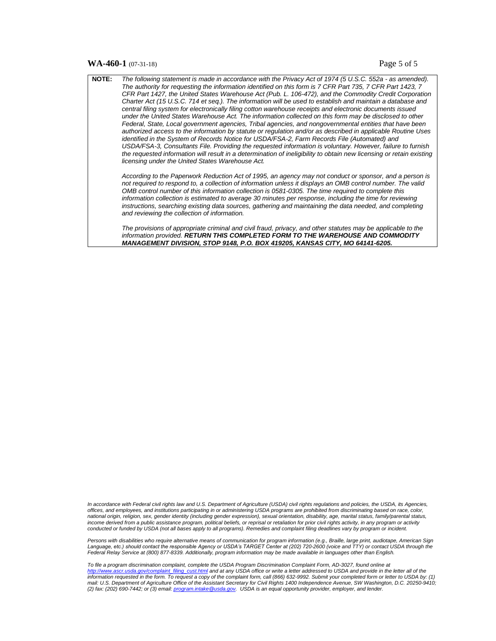#### **WA-460-1** (07-31-18) **Page 5 of 5**

| <b>NOTE:</b> | The following statement is made in accordance with the Privacy Act of 1974 (5 U.S.C. 552a - as amended).<br>The authority for requesting the information identified on this form is 7 CFR Part 735, 7 CFR Part 1423, 7<br>CFR Part 1427, the United States Warehouse Act (Pub. L. 106-472), and the Commodity Credit Corporation                                                                                                                                                                                                                                                                     |
|--------------|------------------------------------------------------------------------------------------------------------------------------------------------------------------------------------------------------------------------------------------------------------------------------------------------------------------------------------------------------------------------------------------------------------------------------------------------------------------------------------------------------------------------------------------------------------------------------------------------------|
|              | Charter Act (15 U.S.C. 714 et seg.). The information will be used to establish and maintain a database and<br>central filing system for electronically filing cotton warehouse receipts and electronic documents issued<br>under the United States Warehouse Act. The information collected on this form may be disclosed to other<br>Federal, State, Local government agencies, Tribal agencies, and nongovernmental entities that have been                                                                                                                                                        |
|              | authorized access to the information by statute or regulation and/or as described in applicable Routine Uses<br>identified in the System of Records Notice for USDA/FSA-2, Farm Records File (Automated) and<br>USDA/FSA-3, Consultants File. Providing the requested information is voluntary. However, failure to furnish<br>the requested information will result in a determination of ineligibility to obtain new licensing or retain existing<br>licensing under the United States Warehouse Act.                                                                                              |
|              | According to the Paperwork Reduction Act of 1995, an agency may not conduct or sponsor, and a person is<br>not required to respond to, a collection of information unless it displays an OMB control number. The valid<br>OMB control number of this information collection is 0581-0305. The time required to complete this<br>information collection is estimated to average 30 minutes per response, including the time for reviewing<br>instructions, searching existing data sources, gathering and maintaining the data needed, and completing<br>and reviewing the collection of information. |
|              | The provisions of appropriate criminal and civil fraud, privacy, and other statutes may be applicable to the                                                                                                                                                                                                                                                                                                                                                                                                                                                                                         |

*information provided. RETURN THIS COMPLETED FORM TO THE WAREHOUSE AND COMMODITY MANAGEMENT DIVISION, STOP 9148, P.O. BOX 419205, KANSAS CITY, MO 64141-6205.*

In accordance with Federal civil rights law and U.S. Department of Agriculture (USDA) civil rights regulations and policies, the USDA, its Agencies, *offices, and employees, and institutions participating in or administering USDA programs are prohibited from discriminating based on race, color, national origin, religion, sex, gender identity (including gender expression), sexual orientation, disability, age, marital status, family/parental status,*  income derived from a public assistance program, political beliefs, or reprisal or retaliation for prior civil rights activity, in any program or activity<br>conducted or funded by USDA (not all bases apply to all programs).

Persons with disabilities who require alternative means of communication for program information (e.g., Braille, large print, audiotape, American Sign<br>Language, etc.) should contact the responsible Agency or USDA's TARGET *Federal Relay Service at (800) 877-8339. Additionally, program information may be made available in languages other than English.* 

To file a program discrimination complaint, complete the USDA Program Discrimination Complaint Form, AD-3027, found online at<br><u>[http://www.ascr.usda.gov/complaint\\_filing\\_cust.html](http://www.ascr.usda.gov/complaint_filing_cust.html)</u> and at any USDA office or write a letter a *information requested in the form. To request a copy of the complaint form, call (866) 632-9992. Submit your completed form or letter to USDA by: (1) mail: U.S. Department of Agriculture Office of the Assistant Secretary for Civil Rights 1400 Independence Avenue, SW Washington, D.C. 20250-9410; (2) fax: (202) 690-7442; or (3) email[: program.intake@usda.gov.](mailto:program.intake@usda.gov) USDA is an equal opportunity provider, employer, and lender.*